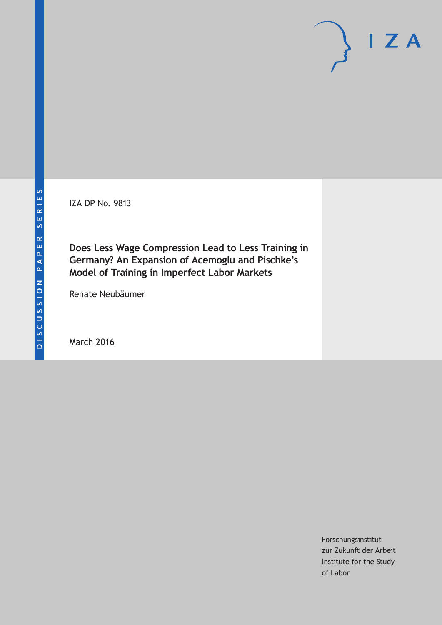IZA DP No. 9813

**Does Less Wage Compression Lead to Less Training in Germany? An Expansion of Acemoglu and Pischke's Model of Training in Imperfect Labor Markets**

Renate Neubäumer

March 2016

Forschungsinstitut zur Zukunft der Arbeit Institute for the Study of Labor

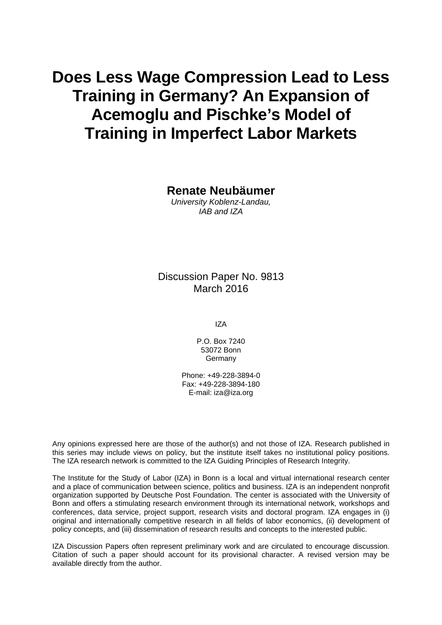# **Does Less Wage Compression Lead to Less Training in Germany? An Expansion of Acemoglu and Pischke's Model of Training in Imperfect Labor Markets**

**Renate Neubäumer** 

*University Koblenz-Landau, IAB and IZA* 

Discussion Paper No. 9813 March 2016

IZA

P.O. Box 7240 53072 Bonn Germany

Phone: +49-228-3894-0 Fax: +49-228-3894-180 E-mail: iza@iza.org

Any opinions expressed here are those of the author(s) and not those of IZA. Research published in this series may include views on policy, but the institute itself takes no institutional policy positions. The IZA research network is committed to the IZA Guiding Principles of Research Integrity.

The Institute for the Study of Labor (IZA) in Bonn is a local and virtual international research center and a place of communication between science, politics and business. IZA is an independent nonprofit organization supported by Deutsche Post Foundation. The center is associated with the University of Bonn and offers a stimulating research environment through its international network, workshops and conferences, data service, project support, research visits and doctoral program. IZA engages in (i) original and internationally competitive research in all fields of labor economics, (ii) development of policy concepts, and (iii) dissemination of research results and concepts to the interested public.

IZA Discussion Papers often represent preliminary work and are circulated to encourage discussion. Citation of such a paper should account for its provisional character. A revised version may be available directly from the author.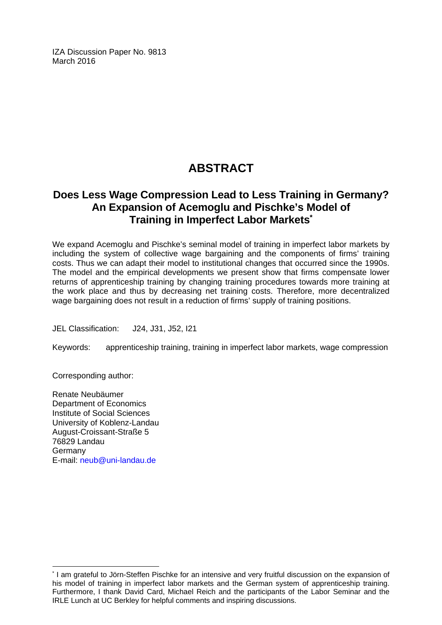IZA Discussion Paper No. 9813 March 2016

## **ABSTRACT**

## **Does Less Wage Compression Lead to Less Training in Germany? An Expansion of Acemoglu and Pischke's Model of Training in Imperfect Labor Markets\***

We expand Acemoglu and Pischke's seminal model of training in imperfect labor markets by including the system of collective wage bargaining and the components of firms' training costs. Thus we can adapt their model to institutional changes that occurred since the 1990s. The model and the empirical developments we present show that firms compensate lower returns of apprenticeship training by changing training procedures towards more training at the work place and thus by decreasing net training costs. Therefore, more decentralized wage bargaining does not result in a reduction of firms' supply of training positions.

JEL Classification: J24, J31, J52, I21

Keywords: apprenticeship training, training in imperfect labor markets, wage compression

Corresponding author:

 $\overline{a}$ 

Renate Neubäumer Department of Economics Institute of Social Sciences University of Koblenz-Landau August-Croissant-Straße 5 76829 Landau **Germany** E-mail: neub@uni-landau.de

<sup>\*</sup> I am grateful to Jörn-Steffen Pischke for an intensive and very fruitful discussion on the expansion of his model of training in imperfect labor markets and the German system of apprenticeship training. Furthermore, I thank David Card, Michael Reich and the participants of the Labor Seminar and the IRLE Lunch at UC Berkley for helpful comments and inspiring discussions.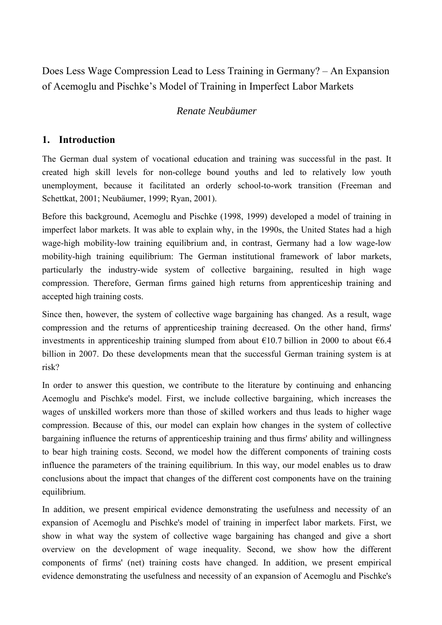Does Less Wage Compression Lead to Less Training in Germany? – An Expansion of Acemoglu and Pischke's Model of Training in Imperfect Labor Markets

## *Renate Neubäumer*

## **1. Introduction**

The German dual system of vocational education and training was successful in the past. It created high skill levels for non-college bound youths and led to relatively low youth unemployment, because it facilitated an orderly school-to-work transition (Freeman and Schettkat, 2001; Neubäumer, 1999; Ryan, 2001).

Before this background, Acemoglu and Pischke (1998, 1999) developed a model of training in imperfect labor markets. It was able to explain why, in the 1990s, the United States had a high wage-high mobility-low training equilibrium and, in contrast, Germany had a low wage-low mobility-high training equilibrium: The German institutional framework of labor markets, particularly the industry-wide system of collective bargaining, resulted in high wage compression. Therefore, German firms gained high returns from apprenticeship training and accepted high training costs.

Since then, however, the system of collective wage bargaining has changed. As a result, wage compression and the returns of apprenticeship training decreased. On the other hand, firms' investments in apprenticeship training slumped from about  $\epsilon$ 10.7 billion in 2000 to about  $\epsilon$ 6.4 billion in 2007. Do these developments mean that the successful German training system is at risk?

In order to answer this question, we contribute to the literature by continuing and enhancing Acemoglu and Pischke's model. First, we include collective bargaining, which increases the wages of unskilled workers more than those of skilled workers and thus leads to higher wage compression. Because of this, our model can explain how changes in the system of collective bargaining influence the returns of apprenticeship training and thus firms' ability and willingness to bear high training costs. Second, we model how the different components of training costs influence the parameters of the training equilibrium. In this way, our model enables us to draw conclusions about the impact that changes of the different cost components have on the training equilibrium.

In addition, we present empirical evidence demonstrating the usefulness and necessity of an expansion of Acemoglu and Pischke's model of training in imperfect labor markets. First, we show in what way the system of collective wage bargaining has changed and give a short overview on the development of wage inequality. Second, we show how the different components of firms' (net) training costs have changed. In addition, we present empirical evidence demonstrating the usefulness and necessity of an expansion of Acemoglu and Pischke's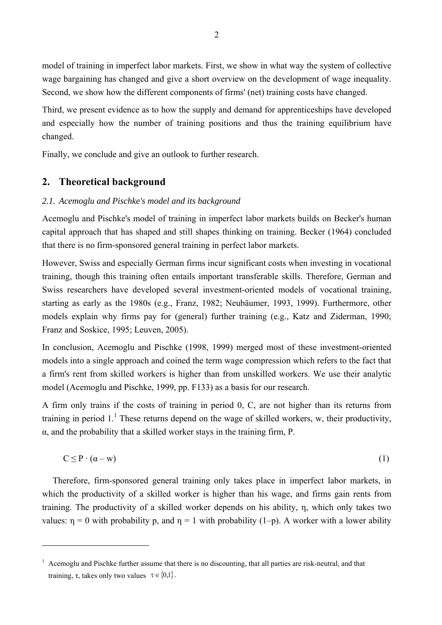model of training in imperfect labor markets. First, we show in what way the system of collective wage bargaining has changed and give a short overview on the development of wage inequality. Second, we show how the different components of firms' (net) training costs have changed.

Third, we present evidence as to how the supply and demand for apprenticeships have developed and especially how the number of training positions and thus the training equilibrium have changed.

Finally, we conclude and give an outlook to further research.

## **2. Theoretical background**

 $\overline{a}$ 

### *2.1. Acemoglu and Pischke's model and its background*

Acemoglu and Pischke's model of training in imperfect labor markets builds on Becker's human capital approach that has shaped and still shapes thinking on training. Becker (1964) concluded that there is no firm-sponsored general training in perfect labor markets.

However, Swiss and especially German firms incur significant costs when investing in vocational training, though this training often entails important transferable skills. Therefore, German and Swiss researchers have developed several investment-oriented models of vocational training, starting as early as the 1980s (e.g., Franz, 1982; Neubäumer, 1993, 1999). Furthermore, other models explain why firms pay for (general) further training (e.g., Katz and Ziderman, 1990; Franz and Soskice, 1995; Leuven, 2005).

In conclusion, Acemoglu and Pischke (1998, 1999) merged most of these investment-oriented models into a single approach and coined the term wage compression which refers to the fact that a firm's rent from skilled workers is higher than from unskilled workers. We use their analytic model (Acemoglu and Pischke, 1999, pp. F133) as a basis for our research.

A firm only trains if the costs of training in period 0, C, are not higher than its returns from training in period  $1<sup>1</sup>$ . These returns depend on the wage of skilled workers, w, their productivity,  $\alpha$ , and the probability that a skilled worker stays in the training firm, P.

$$
C \le P \cdot (\alpha - w) \tag{1}
$$

Therefore, firm-sponsored general training only takes place in imperfect labor markets, in which the productivity of a skilled worker is higher than his wage, and firms gain rents from training. The productivity of a skilled worker depends on his ability, η, which only takes two values:  $\eta = 0$  with probability p, and  $\eta = 1$  with probability (1-p). A worker with a lower ability

<sup>&</sup>lt;sup>1</sup> Acemoglu and Pischke further assume that there is no discounting, that all parties are risk-neutral, and that training, τ, takes only two values  $\tau \in \{0,1\}$ .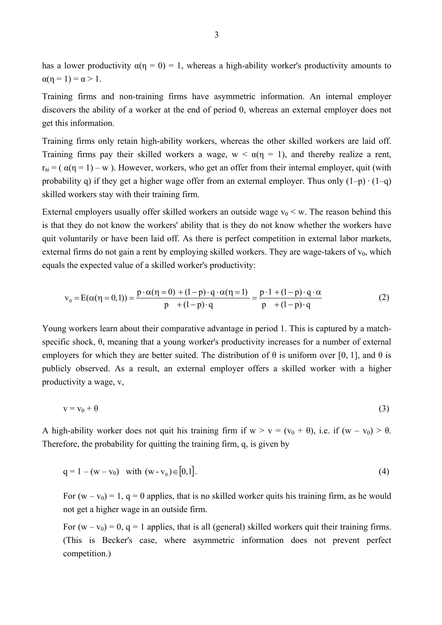has a lower productivity  $\alpha(\eta = 0) = 1$ , whereas a high-ability worker's productivity amounts to  $\alpha(n = 1) = \alpha > 1$ .

Training firms and non-training firms have asymmetric information. An internal employer discovers the ability of a worker at the end of period 0, whereas an external employer does not get this information.

Training firms only retain high-ability workers, whereas the other skilled workers are laid off. Training firms pay their skilled workers a wage,  $w < \alpha(\eta = 1)$ , and thereby realize a rent,  $r_{ai} = (\alpha(\eta = 1) - w)$ . However, workers, who get an offer from their internal employer, quit (with probability q) if they get a higher wage offer from an external employer. Thus only  $(1-p) \cdot (1-q)$ skilled workers stay with their training firm.

External employers usually offer skilled workers an outside wage  $v_0 < w$ . The reason behind this is that they do not know the workers' ability that is they do not know whether the workers have quit voluntarily or have been laid off. As there is perfect competition in external labor markets, external firms do not gain a rent by employing skilled workers. They are wage-takers of  $v_0$ , which equals the expected value of a skilled worker's productivity:

$$
\mathbf{v}_0 = \mathbf{E}(\alpha(\eta = 0, 1)) = \frac{\mathbf{p} \cdot \alpha(\eta = 0) + (1 - \mathbf{p}) \cdot \mathbf{q} \cdot \alpha(\eta = 1)}{\mathbf{p} + (1 - \mathbf{p}) \cdot \mathbf{q}} = \frac{\mathbf{p} \cdot 1 + (1 - \mathbf{p}) \cdot \mathbf{q} \cdot \alpha}{\mathbf{p} + (1 - \mathbf{p}) \cdot \mathbf{q}} \tag{2}
$$

Young workers learn about their comparative advantage in period 1. This is captured by a matchspecific shock, θ, meaning that a young worker's productivity increases for a number of external employers for which they are better suited. The distribution of  $\theta$  is uniform over [0, 1], and  $\theta$  is publicly observed. As a result, an external employer offers a skilled worker with a higher productivity a wage, v,

$$
v = v_0 + \theta \tag{3}
$$

A high-ability worker does not quit his training firm if  $w > v = (v_0 + \theta)$ , i.e. if  $(w - v_0) > \theta$ . Therefore, the probability for quitting the training firm, q, is given by

$$
q = 1 - (w - v_0) \quad \text{with } (w - v_0) \in [0, 1]. \tag{4}
$$

For  $(w - v_0) = 1$ ,  $q = 0$  applies, that is no skilled worker quits his training firm, as he would not get a higher wage in an outside firm.

For  $(w - v_0) = 0$ ,  $q = 1$  applies, that is all (general) skilled workers quit their training firms. (This is Becker's case, where asymmetric information does not prevent perfect competition.)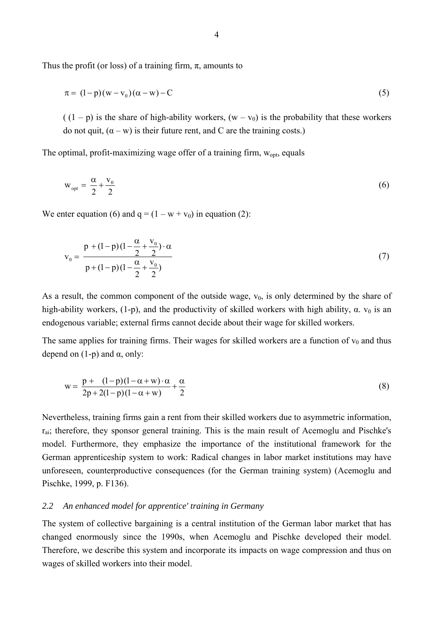Thus the profit (or loss) of a training firm,  $\pi$ , amounts to

$$
\pi = (1 - p)(w - v_0)(\alpha - w) - C \tag{5}
$$

 $((1 - p))$  is the share of high-ability workers,  $(w - v_0)$  is the probability that these workers do not quit,  $(α - w)$  is their future rent, and C are the training costs.)

The optimal, profit-maximizing wage offer of a training firm,  $w_{opt}$ , equals

$$
w_{opt} = \frac{\alpha}{2} + \frac{v_0}{2} \tag{6}
$$

We enter equation (6) and  $q = (1 - w + v_0)$  in equation (2):

$$
v_0 = \frac{p + (1-p)(1 - \frac{\alpha}{2} + \frac{v_0}{2}) \cdot \alpha}{p + (1-p)(1 - \frac{\alpha}{2} + \frac{v_0}{2})}
$$
(7)

As a result, the common component of the outside wage,  $v_0$ , is only determined by the share of high-ability workers, (1-p), and the productivity of skilled workers with high ability,  $\alpha$ .  $v_0$  is an endogenous variable; external firms cannot decide about their wage for skilled workers.

The same applies for training firms. Their wages for skilled workers are a function of  $v_0$  and thus depend on  $(1-p)$  and  $\alpha$ , only:

$$
w = \frac{p + (1-p)(1 - \alpha + w) \cdot \alpha}{2p + 2(1-p)(1 - \alpha + w)} + \frac{\alpha}{2}
$$
\n(8)

Nevertheless, training firms gain a rent from their skilled workers due to asymmetric information, rai; therefore, they sponsor general training. This is the main result of Acemoglu and Pischke's model. Furthermore, they emphasize the importance of the institutional framework for the German apprenticeship system to work: Radical changes in labor market institutions may have unforeseen, counterproductive consequences (for the German training system) (Acemoglu and Pischke, 1999, p. F136).

#### *2.2 An enhanced model for apprentice' training in Germany*

The system of collective bargaining is a central institution of the German labor market that has changed enormously since the 1990s, when Acemoglu and Pischke developed their model. Therefore, we describe this system and incorporate its impacts on wage compression and thus on wages of skilled workers into their model.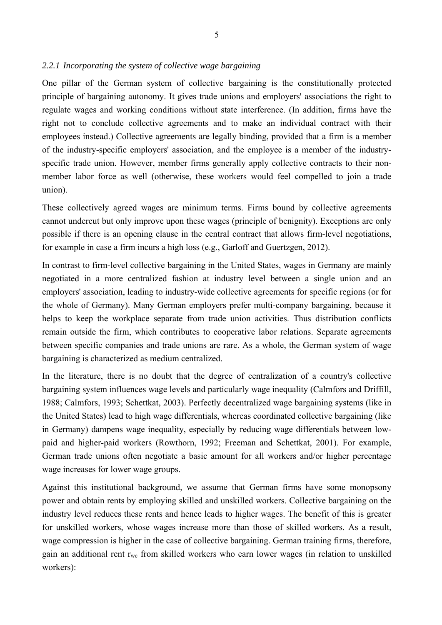#### *2.2.1 Incorporating the system of collective wage bargaining*

One pillar of the German system of collective bargaining is the constitutionally protected principle of bargaining autonomy. It gives trade unions and employers' associations the right to regulate wages and working conditions without state interference. (In addition, firms have the right not to conclude collective agreements and to make an individual contract with their employees instead.) Collective agreements are legally binding, provided that a firm is a member of the industry-specific employers' association, and the employee is a member of the industryspecific trade union. However, member firms generally apply collective contracts to their nonmember labor force as well (otherwise, these workers would feel compelled to join a trade union).

These collectively agreed wages are minimum terms. Firms bound by collective agreements cannot undercut but only improve upon these wages (principle of benignity). Exceptions are only possible if there is an opening clause in the central contract that allows firm-level negotiations, for example in case a firm incurs a high loss (e.g., Garloff and Guertzgen, 2012).

In contrast to firm-level collective bargaining in the United States, wages in Germany are mainly negotiated in a more centralized fashion at industry level between a single union and an employers' association, leading to industry-wide collective agreements for specific regions (or for the whole of Germany). Many German employers prefer multi-company bargaining, because it helps to keep the workplace separate from trade union activities. Thus distribution conflicts remain outside the firm, which contributes to cooperative labor relations. Separate agreements between specific companies and trade unions are rare. As a whole, the German system of wage bargaining is characterized as medium centralized.

In the literature, there is no doubt that the degree of centralization of a country's collective bargaining system influences wage levels and particularly wage inequality (Calmfors and Driffill, 1988; Calmfors, 1993; Schettkat, 2003). Perfectly decentralized wage bargaining systems (like in the United States) lead to high wage differentials, whereas coordinated collective bargaining (like in Germany) dampens wage inequality, especially by reducing wage differentials between lowpaid and higher-paid workers (Rowthorn, 1992; Freeman and Schettkat, 2001). For example, German trade unions often negotiate a basic amount for all workers and/or higher percentage wage increases for lower wage groups.

Against this institutional background, we assume that German firms have some monopsony power and obtain rents by employing skilled and unskilled workers. Collective bargaining on the industry level reduces these rents and hence leads to higher wages. The benefit of this is greater for unskilled workers, whose wages increase more than those of skilled workers. As a result, wage compression is higher in the case of collective bargaining. German training firms, therefore, gain an additional rent  $r_{wc}$  from skilled workers who earn lower wages (in relation to unskilled workers):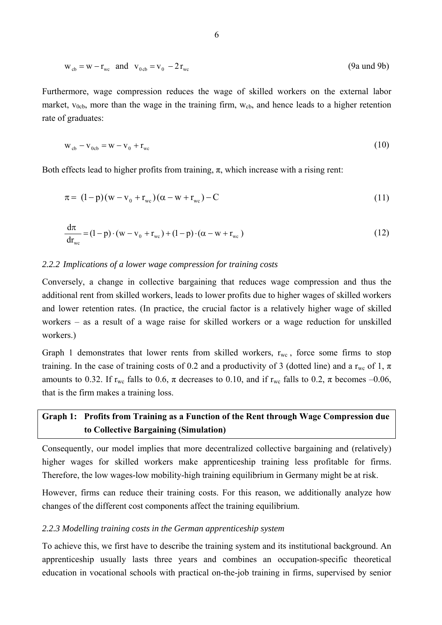$$
w_{cb} = w - r_{wc} \quad \text{and} \quad v_{0cb} = v_0 - 2r_{wc} \tag{9a and 9b}
$$

Furthermore, wage compression reduces the wage of skilled workers on the external labor market,  $v_{0cb}$ , more than the wage in the training firm,  $w_{cb}$ , and hence leads to a higher retention rate of graduates:

$$
w_{cb} - v_{0cb} = w - v_0 + r_{wc}
$$
 (10)

Both effects lead to higher profits from training,  $\pi$ , which increase with a rising rent:

$$
\pi = (1-p)(w - v_0 + r_{wc})(\alpha - w + r_{wc}) - C
$$
\n(11)

$$
\frac{d\pi}{dr_{\text{wc}}} = (1 - p) \cdot (w - v_0 + r_{\text{wc}}) + (1 - p) \cdot (\alpha - w + r_{\text{wc}})
$$
\n(12)

#### *2.2.2 Implications of a lower wage compression for training costs*

Conversely, a change in collective bargaining that reduces wage compression and thus the additional rent from skilled workers, leads to lower profits due to higher wages of skilled workers and lower retention rates. (In practice, the crucial factor is a relatively higher wage of skilled workers – as a result of a wage raise for skilled workers or a wage reduction for unskilled workers.)

Graph 1 demonstrates that lower rents from skilled workers,  $r_{wc}$ , force some firms to stop training. In the case of training costs of 0.2 and a productivity of 3 (dotted line) and a r<sub>wc</sub> of 1,  $\pi$ amounts to 0.32. If  $r_{wc}$  falls to 0.6,  $\pi$  decreases to 0.10, and if  $r_{wc}$  falls to 0.2,  $\pi$  becomes -0.06, that is the firm makes a training loss.

## **Graph 1: Profits from Training as a Function of the Rent through Wage Compression due to Collective Bargaining (Simulation)**

Consequently, our model implies that more decentralized collective bargaining and (relatively) higher wages for skilled workers make apprenticeship training less profitable for firms. Therefore, the low wages-low mobility-high training equilibrium in Germany might be at risk.

However, firms can reduce their training costs. For this reason, we additionally analyze how changes of the different cost components affect the training equilibrium.

#### *2.2.3 Modelling training costs in the German apprenticeship system*

To achieve this, we first have to describe the training system and its institutional background. An apprenticeship usually lasts three years and combines an occupation-specific theoretical education in vocational schools with practical on-the-job training in firms, supervised by senior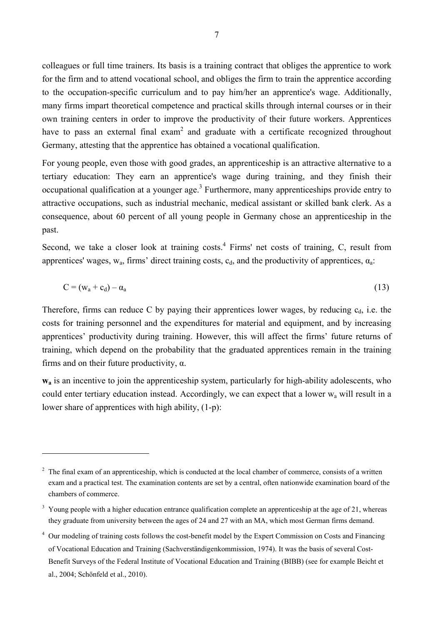colleagues or full time trainers. Its basis is a training contract that obliges the apprentice to work for the firm and to attend vocational school, and obliges the firm to train the apprentice according to the occupation-specific curriculum and to pay him/her an apprentice's wage. Additionally, many firms impart theoretical competence and practical skills through internal courses or in their own training centers in order to improve the productivity of their future workers. Apprentices have to pass an external final exam<sup>2</sup> and graduate with a certificate recognized throughout Germany, attesting that the apprentice has obtained a vocational qualification.

For young people, even those with good grades, an apprenticeship is an attractive alternative to a tertiary education: They earn an apprentice's wage during training, and they finish their occupational qualification at a younger age.<sup>3</sup> Furthermore, many apprenticeships provide entry to attractive occupations, such as industrial mechanic, medical assistant or skilled bank clerk. As a consequence, about 60 percent of all young people in Germany chose an apprenticeship in the past.

Second, we take a closer look at training costs.<sup>4</sup> Firms' net costs of training, C, result from apprentices' wages,  $w_a$ , firms' direct training costs,  $c_d$ , and the productivity of apprentices,  $\alpha_a$ .

$$
C = (w_a + c_d) - \alpha_a \tag{13}
$$

Therefore, firms can reduce C by paying their apprentices lower wages, by reducing  $c<sub>d</sub>$ , i.e. the costs for training personnel and the expenditures for material and equipment, and by increasing apprentices' productivity during training. However, this will affect the firms' future returns of training, which depend on the probability that the graduated apprentices remain in the training firms and on their future productivity,  $\alpha$ .

**wa** is an incentive to join the apprenticeship system, particularly for high-ability adolescents, who could enter tertiary education instead. Accordingly, we can expect that a lower wa will result in a lower share of apprentices with high ability, (1-p):

 $\overline{a}$ 

 $2<sup>2</sup>$  The final exam of an apprenticeship, which is conducted at the local chamber of commerce, consists of a written exam and a practical test. The examination contents are set by a central, often nationwide examination board of the chambers of commerce.

 $3$  Young people with a higher education entrance qualification complete an apprenticeship at the age of 21, whereas they graduate from university between the ages of 24 and 27 with an MA, which most German firms demand.

<sup>&</sup>lt;sup>4</sup> Our modeling of training costs follows the cost-benefit model by the Expert Commission on Costs and Financing of Vocational Education and Training (Sachverständigenkommission, 1974). It was the basis of several Cost-Benefit Surveys of the Federal Institute of Vocational Education and Training (BIBB) (see for example Beicht et al., 2004; Schönfeld et al., 2010).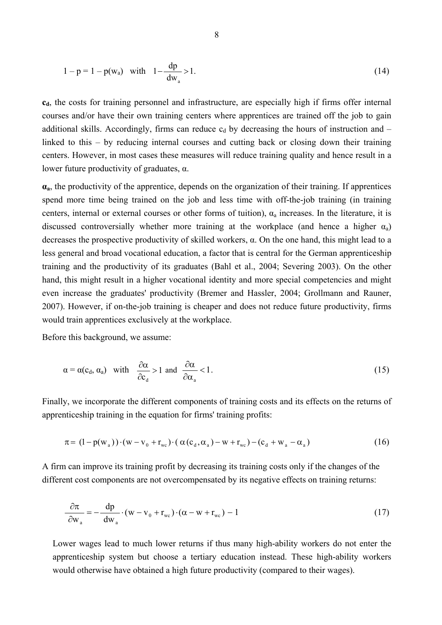$$
1 - p = 1 - p(w_a) \quad \text{with} \quad 1 - \frac{dp}{dw_a} > 1. \tag{14}
$$

 $c<sub>d</sub>$ , the costs for training personnel and infrastructure, are especially high if firms offer internal courses and/or have their own training centers where apprentices are trained off the job to gain additional skills. Accordingly, firms can reduce  $c_d$  by decreasing the hours of instruction and – linked to this – by reducing internal courses and cutting back or closing down their training centers. However, in most cases these measures will reduce training quality and hence result in a lower future productivity of graduates, α.

**αa**, the productivity of the apprentice, depends on the organization of their training. If apprentices spend more time being trained on the job and less time with off-the-job training (in training centers, internal or external courses or other forms of tuition),  $\alpha_a$  increases. In the literature, it is discussed controversially whether more training at the workplace (and hence a higher  $\alpha_a$ ) decreases the prospective productivity of skilled workers,  $\alpha$ . On the one hand, this might lead to a less general and broad vocational education, a factor that is central for the German apprenticeship training and the productivity of its graduates (Bahl et al., 2004; Severing 2003). On the other hand, this might result in a higher vocational identity and more special competencies and might even increase the graduates' productivity (Bremer and Hassler, 2004; Grollmann and Rauner, 2007). However, if on-the-job training is cheaper and does not reduce future productivity, firms would train apprentices exclusively at the workplace.

Before this background, we assume:

$$
\alpha = \alpha(c_d, \alpha_a)
$$
 with  $\frac{\partial \alpha}{\partial c_d} > 1$  and  $\frac{\partial \alpha}{\partial \alpha_a} < 1$ . (15)

Finally, we incorporate the different components of training costs and its effects on the returns of apprenticeship training in the equation for firms' training profits:

$$
\pi = (1 - p(w_a)) \cdot (w - v_0 + r_{wc}) \cdot (\alpha (c_d, \alpha_a) - w + r_{wc}) - (c_d + w_a - \alpha_a)
$$
\n(16)

A firm can improve its training profit by decreasing its training costs only if the changes of the different cost components are not overcompensated by its negative effects on training returns:

$$
\frac{\partial \pi}{\partial w_a} = -\frac{dp}{dw_a} \cdot (w - v_0 + r_{wc}) \cdot (\alpha - w + r_{wc}) - 1 \tag{17}
$$

Lower wages lead to much lower returns if thus many high-ability workers do not enter the apprenticeship system but choose a tertiary education instead. These high-ability workers would otherwise have obtained a high future productivity (compared to their wages).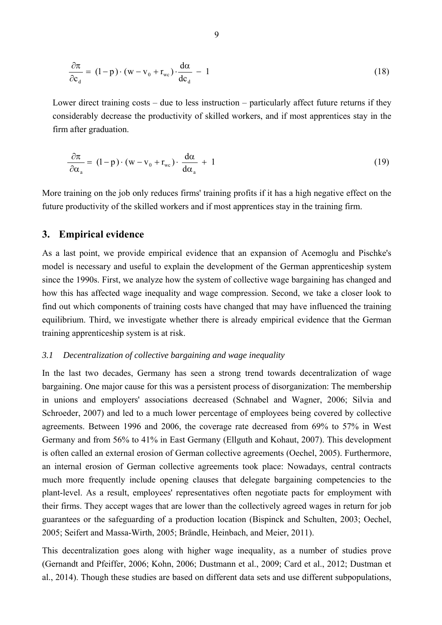$$
\frac{\partial \pi}{\partial c_d} = (1 - p) \cdot (w - v_0 + r_{wc}) \cdot \frac{d\alpha}{dc_d} - 1 \tag{18}
$$

Lower direct training costs – due to less instruction – particularly affect future returns if they considerably decrease the productivity of skilled workers, and if most apprentices stay in the firm after graduation.

$$
\frac{\partial \pi}{\partial \alpha_{a}} = (1 - p) \cdot (w - v_0 + r_{wc}) \cdot \frac{d\alpha}{d\alpha_{a}} + 1
$$
\n(19)

More training on the job only reduces firms' training profits if it has a high negative effect on the future productivity of the skilled workers and if most apprentices stay in the training firm.

#### **3. Empirical evidence**

As a last point, we provide empirical evidence that an expansion of Acemoglu and Pischke's model is necessary and useful to explain the development of the German apprenticeship system since the 1990s. First, we analyze how the system of collective wage bargaining has changed and how this has affected wage inequality and wage compression. Second, we take a closer look to find out which components of training costs have changed that may have influenced the training equilibrium. Third, we investigate whether there is already empirical evidence that the German training apprenticeship system is at risk.

#### *3.1 Decentralization of collective bargaining and wage inequality*

In the last two decades, Germany has seen a strong trend towards decentralization of wage bargaining. One major cause for this was a persistent process of disorganization: The membership in unions and employers' associations decreased (Schnabel and Wagner, 2006; Silvia and Schroeder, 2007) and led to a much lower percentage of employees being covered by collective agreements. Between 1996 and 2006, the coverage rate decreased from 69% to 57% in West Germany and from 56% to 41% in East Germany (Ellguth and Kohaut, 2007). This development is often called an external erosion of German collective agreements (Oechel, 2005). Furthermore, an internal erosion of German collective agreements took place: Nowadays, central contracts much more frequently include opening clauses that delegate bargaining competencies to the plant-level. As a result, employees' representatives often negotiate pacts for employment with their firms. They accept wages that are lower than the collectively agreed wages in return for job guarantees or the safeguarding of a production location (Bispinck and Schulten, 2003; Oechel, 2005; Seifert and Massa-Wirth, 2005; Brändle, Heinbach, and Meier, 2011).

This decentralization goes along with higher wage inequality, as a number of studies prove (Gernandt and Pfeiffer, 2006; Kohn, 2006; Dustmann et al., 2009; Card et al., 2012; Dustman et al., 2014). Though these studies are based on different data sets and use different subpopulations,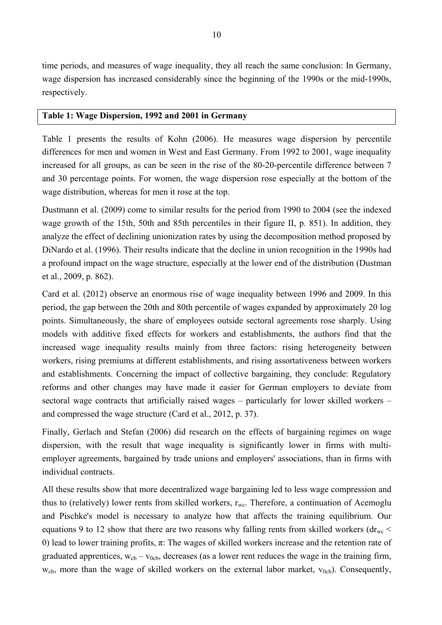time periods, and measures of wage inequality, they all reach the same conclusion: In Germany, wage dispersion has increased considerably since the beginning of the 1990s or the mid-1990s, respectively.

#### **Table 1: Wage Dispersion, 1992 and 2001 in Germany**

Table 1 presents the results of Kohn (2006). He measures wage dispersion by percentile differences for men and women in West and East Germany. From 1992 to 2001, wage inequality increased for all groups, as can be seen in the rise of the 80-20-percentile difference between 7 and 30 percentage points. For women, the wage dispersion rose especially at the bottom of the wage distribution, whereas for men it rose at the top.

Dustmann et al. (2009) come to similar results for the period from 1990 to 2004 (see the indexed wage growth of the 15th, 50th and 85th percentiles in their figure II, p. 851). In addition, they analyze the effect of declining unionization rates by using the decomposition method proposed by DiNardo et al. (1996). Their results indicate that the decline in union recognition in the 1990s had a profound impact on the wage structure, especially at the lower end of the distribution (Dustman et al., 2009, p. 862).

Card et al. (2012) observe an enormous rise of wage inequality between 1996 and 2009. In this period, the gap between the 20th and 80th percentile of wages expanded by approximately 20 log points. Simultaneously, the share of employees outside sectoral agreements rose sharply. Using models with additive fixed effects for workers and establishments, the authors find that the increased wage inequality results mainly from three factors: rising heterogeneity between workers, rising premiums at different establishments, and rising assortativeness between workers and establishments. Concerning the impact of collective bargaining, they conclude: Regulatory reforms and other changes may have made it easier for German employers to deviate from sectoral wage contracts that artificially raised wages – particularly for lower skilled workers – and compressed the wage structure (Card et al., 2012, p. 37).

Finally, Gerlach and Stefan (2006) did research on the effects of bargaining regimes on wage dispersion, with the result that wage inequality is significantly lower in firms with multiemployer agreements, bargained by trade unions and employers' associations, than in firms with individual contracts.

All these results show that more decentralized wage bargaining led to less wage compression and thus to (relatively) lower rents from skilled workers,  $r_{wc}$ . Therefore, a continuation of Acemoglu and Pischke's model is necessary to analyze how that affects the training equilibrium. Our equations 9 to 12 show that there are two reasons why falling rents from skilled workers ( $dr_{wc}$  < 0) lead to lower training profits,  $\pi$ : The wages of skilled workers increase and the retention rate of graduated apprentices,  $w_{cb} - v_{0cb}$ , decreases (as a lower rent reduces the wage in the training firm,  $w_{cb}$ , more than the wage of skilled workers on the external labor market,  $v_{0cb}$ ). Consequently,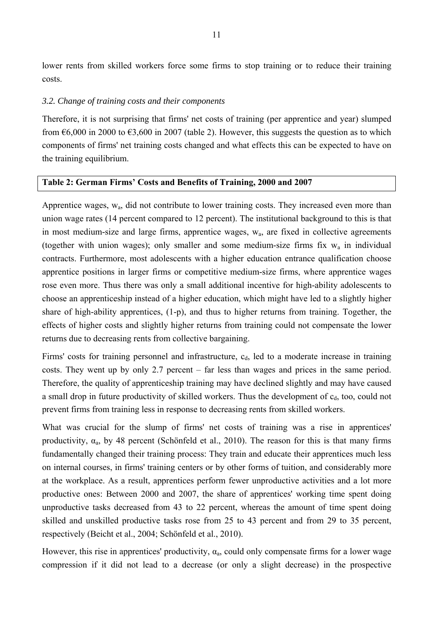lower rents from skilled workers force some firms to stop training or to reduce their training costs.

#### *3.2. Change of training costs and their components*

Therefore, it is not surprising that firms' net costs of training (per apprentice and year) slumped from  $66,000$  in 2000 to  $63,600$  in 2007 (table 2). However, this suggests the question as to which components of firms' net training costs changed and what effects this can be expected to have on the training equilibrium.

#### **Table 2: German Firms' Costs and Benefits of Training, 2000 and 2007**

Apprentice wages, wa, did not contribute to lower training costs. They increased even more than union wage rates (14 percent compared to 12 percent). The institutional background to this is that in most medium-size and large firms, apprentice wages, wa, are fixed in collective agreements (together with union wages); only smaller and some medium-size firms fix  $w_a$  in individual contracts. Furthermore, most adolescents with a higher education entrance qualification choose apprentice positions in larger firms or competitive medium-size firms, where apprentice wages rose even more. Thus there was only a small additional incentive for high-ability adolescents to choose an apprenticeship instead of a higher education, which might have led to a slightly higher share of high-ability apprentices, (1-p), and thus to higher returns from training. Together, the effects of higher costs and slightly higher returns from training could not compensate the lower returns due to decreasing rents from collective bargaining.

Firms' costs for training personnel and infrastructure,  $c<sub>d</sub>$ , led to a moderate increase in training costs. They went up by only 2.7 percent – far less than wages and prices in the same period. Therefore, the quality of apprenticeship training may have declined slightly and may have caused a small drop in future productivity of skilled workers. Thus the development of  $c<sub>d</sub>$ , too, could not prevent firms from training less in response to decreasing rents from skilled workers.

What was crucial for the slump of firms' net costs of training was a rise in apprentices' productivity,  $\alpha_a$ , by 48 percent (Schönfeld et al., 2010). The reason for this is that many firms fundamentally changed their training process: They train and educate their apprentices much less on internal courses, in firms' training centers or by other forms of tuition, and considerably more at the workplace. As a result, apprentices perform fewer unproductive activities and a lot more productive ones: Between 2000 and 2007, the share of apprentices' working time spent doing unproductive tasks decreased from 43 to 22 percent, whereas the amount of time spent doing skilled and unskilled productive tasks rose from 25 to 43 percent and from 29 to 35 percent, respectively (Beicht et al., 2004; Schönfeld et al., 2010).

However, this rise in apprentices' productivity,  $\alpha_a$ , could only compensate firms for a lower wage compression if it did not lead to a decrease (or only a slight decrease) in the prospective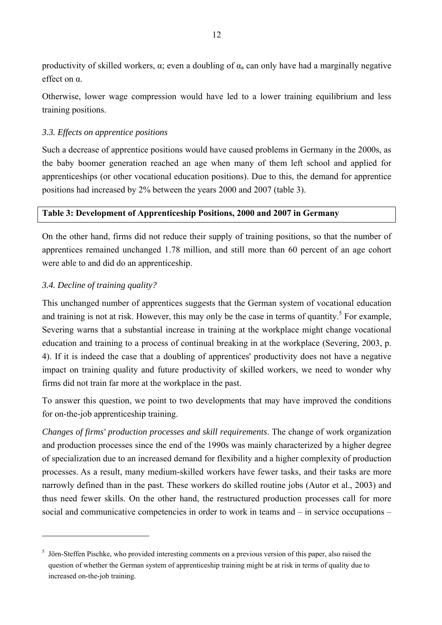productivity of skilled workers,  $\alpha$ ; even a doubling of  $\alpha_a$  can only have had a marginally negative effect on α.

Otherwise, lower wage compression would have led to a lower training equilibrium and less training positions.

#### *3.3. Effects on apprentice positions*

Such a decrease of apprentice positions would have caused problems in Germany in the 2000s, as the baby boomer generation reached an age when many of them left school and applied for apprenticeships (or other vocational education positions). Due to this, the demand for apprentice positions had increased by 2% between the years 2000 and 2007 (table 3).

#### **Table 3: Development of Apprenticeship Positions, 2000 and 2007 in Germany**

On the other hand, firms did not reduce their supply of training positions, so that the number of apprentices remained unchanged 1.78 million, and still more than 60 percent of an age cohort were able to and did do an apprenticeship.

#### *3.4. Decline of training quality?*

 $\overline{a}$ 

This unchanged number of apprentices suggests that the German system of vocational education and training is not at risk. However, this may only be the case in terms of quantity.<sup>5</sup> For example, Severing warns that a substantial increase in training at the workplace might change vocational education and training to a process of continual breaking in at the workplace (Severing, 2003, p. 4). If it is indeed the case that a doubling of apprentices' productivity does not have a negative impact on training quality and future productivity of skilled workers, we need to wonder why firms did not train far more at the workplace in the past.

To answer this question, we point to two developments that may have improved the conditions for on-the-job apprenticeship training.

*Changes of firms' production processes and skill requirements*. The change of work organization and production processes since the end of the 1990s was mainly characterized by a higher degree of specialization due to an increased demand for flexibility and a higher complexity of production processes. As a result, many medium-skilled workers have fewer tasks, and their tasks are more narrowly defined than in the past. These workers do skilled routine jobs (Autor et al., 2003) and thus need fewer skills. On the other hand, the restructured production processes call for more social and communicative competencies in order to work in teams and – in service occupations –

<sup>&</sup>lt;sup>5</sup> Jörn-Steffen Pischke, who provided interesting comments on a previous version of this paper, also raised the question of whether the German system of apprenticeship training might be at risk in terms of quality due to increased on-the-job training.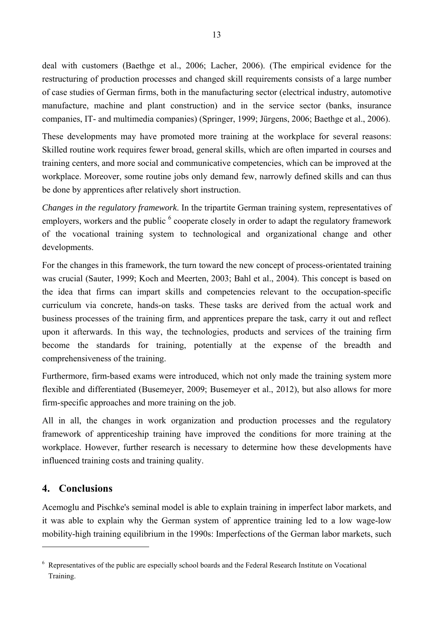deal with customers (Baethge et al., 2006; Lacher, 2006). (The empirical evidence for the restructuring of production processes and changed skill requirements consists of a large number of case studies of German firms, both in the manufacturing sector (electrical industry, automotive manufacture, machine and plant construction) and in the service sector (banks, insurance companies, IT- and multimedia companies) (Springer, 1999; Jürgens, 2006; Baethge et al., 2006).

These developments may have promoted more training at the workplace for several reasons: Skilled routine work requires fewer broad, general skills, which are often imparted in courses and training centers, and more social and communicative competencies, which can be improved at the workplace. Moreover, some routine jobs only demand few, narrowly defined skills and can thus be done by apprentices after relatively short instruction.

*Changes in the regulatory framework*. In the tripartite German training system, representatives of employers, workers and the public  $<sup>6</sup>$  cooperate closely in order to adapt the regulatory framework</sup> of the vocational training system to technological and organizational change and other developments.

For the changes in this framework, the turn toward the new concept of process-orientated training was crucial (Sauter, 1999; Koch and Meerten, 2003; Bahl et al., 2004). This concept is based on the idea that firms can impart skills and competencies relevant to the occupation-specific curriculum via concrete, hands-on tasks. These tasks are derived from the actual work and business processes of the training firm, and apprentices prepare the task, carry it out and reflect upon it afterwards. In this way, the technologies, products and services of the training firm become the standards for training, potentially at the expense of the breadth and comprehensiveness of the training.

Furthermore, firm-based exams were introduced, which not only made the training system more flexible and differentiated (Busemeyer, 2009; Busemeyer et al., 2012), but also allows for more firm-specific approaches and more training on the job.

All in all, the changes in work organization and production processes and the regulatory framework of apprenticeship training have improved the conditions for more training at the workplace. However, further research is necessary to determine how these developments have influenced training costs and training quality.

## **4. Conclusions**

 $\overline{a}$ 

Acemoglu and Pischke's seminal model is able to explain training in imperfect labor markets, and it was able to explain why the German system of apprentice training led to a low wage-low mobility-high training equilibrium in the 1990s: Imperfections of the German labor markets, such

<sup>&</sup>lt;sup>6</sup> Representatives of the public are especially school boards and the Federal Research Institute on Vocational Training.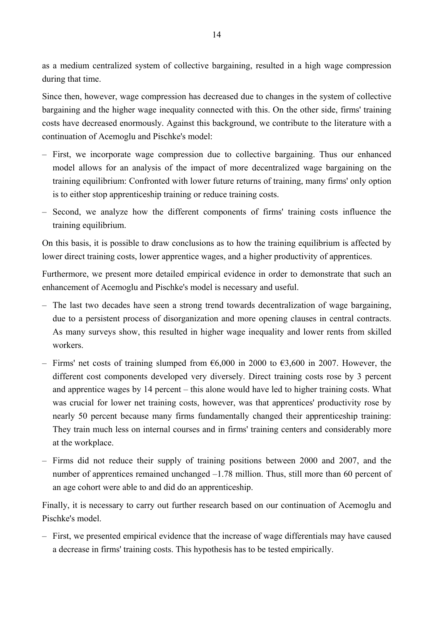as a medium centralized system of collective bargaining, resulted in a high wage compression during that time.

Since then, however, wage compression has decreased due to changes in the system of collective bargaining and the higher wage inequality connected with this. On the other side, firms' training costs have decreased enormously. Against this background, we contribute to the literature with a continuation of Acemoglu and Pischke's model:

- First, we incorporate wage compression due to collective bargaining. Thus our enhanced model allows for an analysis of the impact of more decentralized wage bargaining on the training equilibrium: Confronted with lower future returns of training, many firms' only option is to either stop apprenticeship training or reduce training costs.
- Second, we analyze how the different components of firms' training costs influence the training equilibrium.

On this basis, it is possible to draw conclusions as to how the training equilibrium is affected by lower direct training costs, lower apprentice wages, and a higher productivity of apprentices.

Furthermore, we present more detailed empirical evidence in order to demonstrate that such an enhancement of Acemoglu and Pischke's model is necessary and useful.

- The last two decades have seen a strong trend towards decentralization of wage bargaining, due to a persistent process of disorganization and more opening clauses in central contracts. As many surveys show, this resulted in higher wage inequality and lower rents from skilled workers.
- Firms' net costs of training slumped from €6,000 in 2000 to €3,600 in 2007. However, the different cost components developed very diversely. Direct training costs rose by 3 percent and apprentice wages by 14 percent – this alone would have led to higher training costs. What was crucial for lower net training costs, however, was that apprentices' productivity rose by nearly 50 percent because many firms fundamentally changed their apprenticeship training: They train much less on internal courses and in firms' training centers and considerably more at the workplace.
- Firms did not reduce their supply of training positions between 2000 and 2007, and the number of apprentices remained unchanged –1.78 million. Thus, still more than 60 percent of an age cohort were able to and did do an apprenticeship.

Finally, it is necessary to carry out further research based on our continuation of Acemoglu and Pischke's model.

– First, we presented empirical evidence that the increase of wage differentials may have caused a decrease in firms' training costs. This hypothesis has to be tested empirically.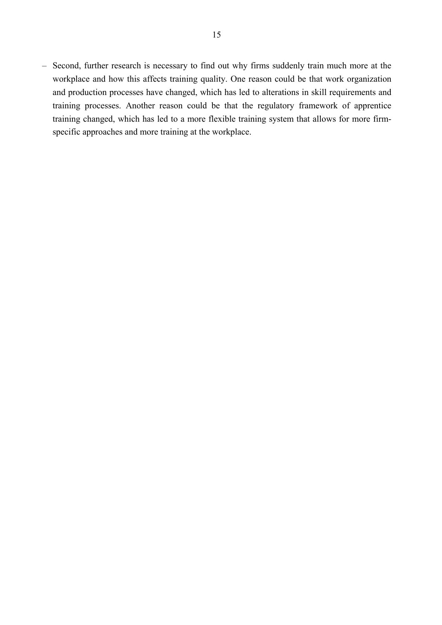– Second, further research is necessary to find out why firms suddenly train much more at the workplace and how this affects training quality. One reason could be that work organization and production processes have changed, which has led to alterations in skill requirements and training processes. Another reason could be that the regulatory framework of apprentice training changed, which has led to a more flexible training system that allows for more firmspecific approaches and more training at the workplace.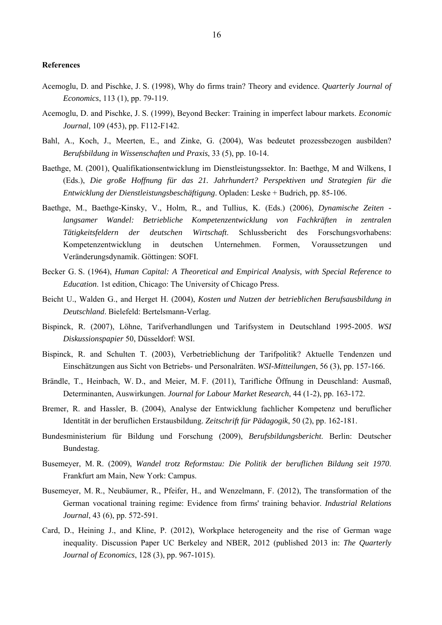#### **References**

- Acemoglu, D. and Pischke, J. S. (1998), Why do firms train? Theory and evidence. *Quarterly Journal of Economics*, 113 (1), pp. 79-119.
- Acemoglu, D. and Pischke, J. S. (1999), Beyond Becker: Training in imperfect labour markets. *Economic Journal*, 109 (453), pp. F112-F142.
- Bahl, A., Koch, J., Meerten, E., and Zinke, G. (2004), Was bedeutet prozessbezogen ausbilden? *Berufsbildung in Wissenschaften und Praxis*, 33 (5), pp. 10-14.
- Baethge, M. (2001), Qualifikationsentwicklung im Dienstleistungssektor. In: Baethge, M and Wilkens, I (Eds.), *Die große Hoffnung für das 21. Jahrhundert? Perspektiven und Strategien für die Entwicklung der Dienstleistungsbeschäftigung*. Opladen: Leske + Budrich, pp. 85-106.
- Baethge, M., Baethge-Kinsky, V., Holm, R., and Tullius, K. (Eds.) (2006), *Dynamische Zeiten langsamer Wandel: Betriebliche Kompetenzentwicklung von Fachkräften in zentralen Tätigkeitsfeldern der deutschen Wirtschaft*. Schlussbericht des Forschungsvorhabens: Kompetenzentwicklung in deutschen Unternehmen. Formen, Voraussetzungen und Veränderungsdynamik. Göttingen: SOFI.
- Becker G. S. (1964), *Human Capital: A Theoretical and Empirical Analysis, with Special Reference to Education*. 1st edition, Chicago: The University of Chicago Press.
- Beicht U., Walden G., and Herget H. (2004), *Kosten und Nutzen der betrieblichen Berufsausbildung in Deutschland*. Bielefeld: Bertelsmann-Verlag.
- Bispinck, R. (2007), Löhne, Tarifverhandlungen und Tarifsystem in Deutschland 1995-2005. *WSI Diskussionspapier* 50, Düsseldorf: WSI.
- Bispinck, R. and Schulten T. (2003), Verbetrieblichung der Tarifpolitik? Aktuelle Tendenzen und Einschätzungen aus Sicht von Betriebs- und Personalräten. *WSI-Mitteilungen*, 56 (3), pp. 157-166.
- Brändle, T., Heinbach, W. D., and Meier, M. F. (2011), Tarifliche Öffnung in Deuschland: Ausmaß, Determinanten, Auswirkungen. *Journal for Labour Market Research*, 44 (1-2), pp. 163-172.
- Bremer, R. and Hassler, B. (2004), Analyse der Entwicklung fachlicher Kompetenz und beruflicher Identität in der beruflichen Erstausbildung. *Zeitschrift für Pädagogik*, 50 (2), pp. 162-181.
- Bundesministerium für Bildung und Forschung (2009), *Berufsbildungsbericht*. Berlin: Deutscher Bundestag.
- Busemeyer, M. R. (2009), *Wandel trotz Reformstau: Die Politik der beruflichen Bildung seit 1970*. Frankfurt am Main, New York: Campus.
- Busemeyer, M. R., Neubäumer, R., Pfeifer, H., and Wenzelmann, F. (2012), The transformation of the German vocational training regime: Evidence from firms' training behavior. *Industrial Relations Journal*, 43 (6), pp. 572-591.
- Card, D., Heining J., and Kline, P. (2012), Workplace heterogeneity and the rise of German wage inequality. Discussion Paper UC Berkeley and NBER, 2012 (published 2013 in: *The Quarterly Journal of Economics*, 128 (3), pp. 967-1015).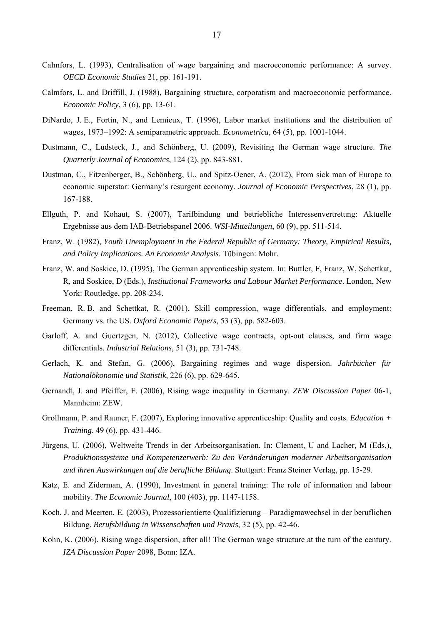- Calmfors, L. (1993), Centralisation of wage bargaining and macroeconomic performance: A survey. *OECD Economic Studies* 21, pp. 161-191.
- Calmfors, L. and Driffill, J. (1988), Bargaining structure, corporatism and macroeconomic performance. *Economic Policy*, 3 (6), pp. 13-61.
- DiNardo, J. E., Fortin, N., and Lemieux, T. (1996), Labor market institutions and the distribution of wages, 1973–1992: A semiparametric approach. *Econometrica*, 64 (5), pp. 1001-1044.
- Dustmann, C., Ludsteck, J., and Schönberg, U. (2009), Revisiting the German wage structure. *The Quarterly Journal of Economics*, 124 (2), pp. 843-881.
- Dustman, C., Fitzenberger, B., Schönberg, U., and Spitz-Oener, A. (2012), From sick man of Europe to economic superstar: Germany's resurgent economy. *Journal of Economic Perspectives*, 28 (1), pp. 167-188.
- Ellguth, P. and Kohaut, S. (2007), Tarifbindung und betriebliche Interessenvertretung: Aktuelle Ergebnisse aus dem IAB-Betriebspanel 2006. *WSI-Mitteilungen*, 60 (9), pp. 511-514.
- Franz, W. (1982), *Youth Unemployment in the Federal Republic of Germany: Theory, Empirical Results, and Policy Implications. An Economic Analysis*. Tübingen: Mohr.
- Franz, W. and Soskice, D. (1995), The German apprenticeship system. In: Buttler, F, Franz, W, Schettkat, R, and Soskice, D (Eds.), *Institutional Frameworks and Labour Market Performance*. London, New York: Routledge, pp. 208-234.
- Freeman, R. B. and Schettkat, R. (2001), Skill compression, wage differentials, and employment: Germany vs. the US. *Oxford Economic Papers*, 53 (3), pp. 582-603.
- Garloff, A. and Guertzgen, N. (2012), Collective wage contracts, opt-out clauses, and firm wage differentials. *Industrial Relations*, 51 (3), pp. 731-748.
- Gerlach, K. and Stefan, G. (2006), Bargaining regimes and wage dispersion. *Jahrbücher für Nationalökonomie und Statistik*, 226 (6), pp. 629-645.
- Gernandt, J. and Pfeiffer, F. (2006), Rising wage inequality in Germany. *ZEW Discussion Paper* 06-1, Mannheim: ZEW.
- Grollmann, P. and Rauner, F. (2007), Exploring innovative apprenticeship: Quality and costs. *Education + Training*, 49 (6), pp. 431-446.
- Jürgens, U. (2006), Weltweite Trends in der Arbeitsorganisation. In: Clement, U and Lacher, M (Eds.), *Produktionssysteme und Kompetenzerwerb: Zu den Veränderungen moderner Arbeitsorganisation und ihren Auswirkungen auf die berufliche Bildung*. Stuttgart: Franz Steiner Verlag, pp. 15-29.
- Katz, E. and Ziderman, A. (1990), Investment in general training: The role of information and labour mobility. *The Economic Journal*, 100 (403), pp. 1147-1158.
- Koch, J. and Meerten, E. (2003), Prozessorientierte Qualifizierung Paradigmawechsel in der beruflichen Bildung. *Berufsbildung in Wissenschaften und Praxis*, 32 (5), pp. 42-46.
- Kohn, K. (2006), Rising wage dispersion, after all! The German wage structure at the turn of the century. *IZA Discussion Paper* 2098, Bonn: IZA.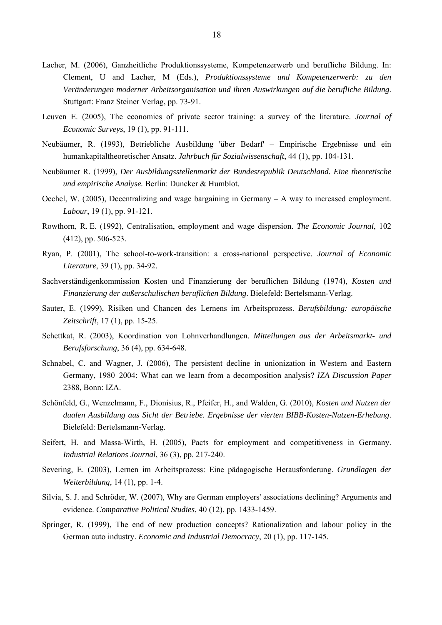- Lacher, M. (2006), Ganzheitliche Produktionssysteme, Kompetenzerwerb und berufliche Bildung. In: Clement, U and Lacher, M (Eds.), *Produktionssysteme und Kompetenzerwerb: zu den Veränderungen moderner Arbeitsorganisation und ihren Auswirkungen auf die berufliche Bildung*. Stuttgart: Franz Steiner Verlag, pp. 73-91.
- Leuven E. (2005), The economics of private sector training: a survey of the literature. *Journal of Economic Surveys*, 19 (1), pp. 91-111.
- Neubäumer, R. (1993), Betriebliche Ausbildung 'über Bedarf' Empirische Ergebnisse und ein humankapitaltheoretischer Ansatz. *Jahrbuch für Sozialwissenschaft*, 44 (1), pp. 104-131.
- Neubäumer R. (1999), *Der Ausbildungsstellenmarkt der Bundesrepublik Deutschland. Eine theoretische und empirische Analyse.* Berlin: Duncker & Humblot.
- Oechel, W. (2005), Decentralizing and wage bargaining in Germany A way to increased employment. *Labour*, 19 (1), pp. 91-121.
- Rowthorn, R. E. (1992), Centralisation, employment and wage dispersion. *The Economic Journal*, 102 (412), pp. 506-523.
- Ryan, P. (2001), The school-to-work-transition: a cross-national perspective. *Journal of Economic Literature*, 39 (1), pp. 34-92.
- Sachverständigenkommission Kosten und Finanzierung der beruflichen Bildung (1974), *Kosten und Finanzierung der außerschulischen beruflichen Bildung*. Bielefeld: Bertelsmann-Verlag.
- Sauter, E. (1999), Risiken und Chancen des Lernens im Arbeitsprozess. *Berufsbildung: europäische Zeitschrift*, 17 (1), pp. 15-25.
- Schettkat, R. (2003), Koordination von Lohnverhandlungen. *Mitteilungen aus der Arbeitsmarkt- und Berufsforschung*, 36 (4), pp. 634-648.
- Schnabel, C. and Wagner, J. (2006), The persistent decline in unionization in Western and Eastern Germany, 1980–2004: What can we learn from a decomposition analysis? *IZA Discussion Paper* 2388, Bonn: IZA.
- Schönfeld, G., Wenzelmann, F., Dionisius, R., Pfeifer, H., and Walden, G. (2010), *Kosten und Nutzen der dualen Ausbildung aus Sicht der Betriebe. Ergebnisse der vierten BIBB-Kosten-Nutzen-Erhebung*. Bielefeld: Bertelsmann-Verlag.
- Seifert, H. and Massa-Wirth, H. (2005), Pacts for employment and competitiveness in Germany. *Industrial Relations Journal*, 36 (3), pp. 217-240.
- Severing, E. (2003), Lernen im Arbeitsprozess: Eine pädagogische Herausforderung. *Grundlagen der Weiterbildung*, 14 (1), pp. 1-4.
- Silvia, S. J. and Schröder, W. (2007), Why are German employers' associations declining? Arguments and evidence. *Comparative Political Studies*, 40 (12), pp. 1433-1459.
- Springer, R. (1999), The end of new production concepts? Rationalization and labour policy in the German auto industry. *Economic and Industrial Democracy*, 20 (1), pp. 117-145.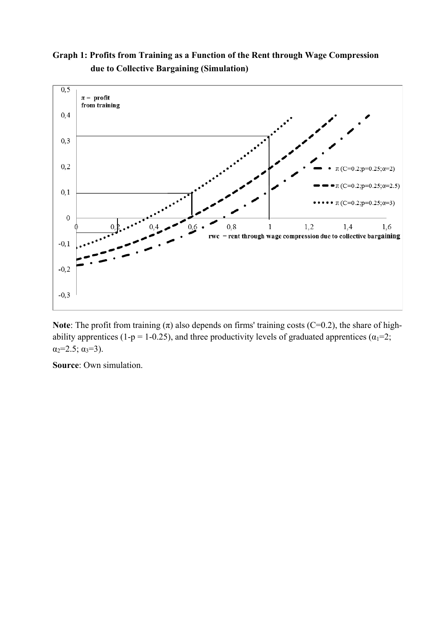**Graph 1: Profits from Training as a Function of the Rent through Wage Compression due to Collective Bargaining (Simulation)** 



**Note**: The profit from training  $(\pi)$  also depends on firms' training costs (C=0.2), the share of highability apprentices (1-p = 1-0.25), and three productivity levels of graduated apprentices ( $\alpha_1$ =2;  $\alpha_2 = 2.5$ ;  $\alpha_3 = 3$ ).

**Source**: Own simulation.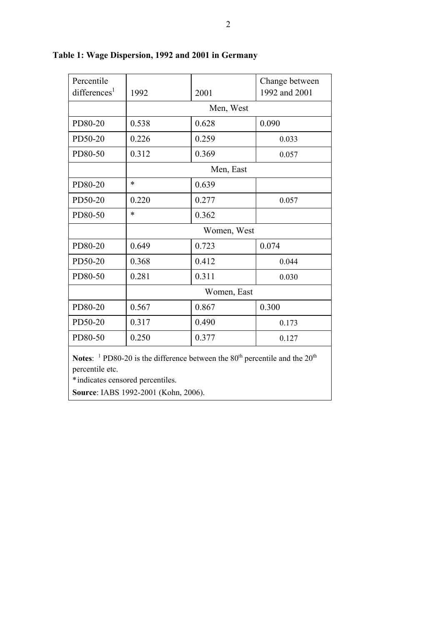| Percentile                                                                                                                                               |             |       | Change between |  |  |
|----------------------------------------------------------------------------------------------------------------------------------------------------------|-------------|-------|----------------|--|--|
| differences <sup>1</sup>                                                                                                                                 | 1992        | 2001  | 1992 and 2001  |  |  |
|                                                                                                                                                          | Men, West   |       |                |  |  |
| PD80-20                                                                                                                                                  | 0.538       | 0.628 | 0.090          |  |  |
| PD50-20                                                                                                                                                  | 0.226       | 0.259 | 0.033          |  |  |
| PD80-50                                                                                                                                                  | 0.312       | 0.369 | 0.057          |  |  |
|                                                                                                                                                          | Men, East   |       |                |  |  |
| PD80-20                                                                                                                                                  | $\ast$      | 0.639 |                |  |  |
| PD50-20                                                                                                                                                  | 0.220       | 0.277 | 0.057          |  |  |
| PD80-50                                                                                                                                                  | $\ast$      | 0.362 |                |  |  |
|                                                                                                                                                          | Women, West |       |                |  |  |
| PD80-20                                                                                                                                                  | 0.649       | 0.723 | 0.074          |  |  |
| PD50-20                                                                                                                                                  | 0.368       | 0.412 | 0.044          |  |  |
| PD80-50                                                                                                                                                  | 0.281       | 0.311 | 0.030          |  |  |
|                                                                                                                                                          | Women, East |       |                |  |  |
| PD80-20                                                                                                                                                  | 0.567       | 0.867 | 0.300          |  |  |
| PD50-20                                                                                                                                                  | 0.317       | 0.490 | 0.173          |  |  |
| PD80-50                                                                                                                                                  | 0.250       | 0.377 | 0.127          |  |  |
| <b>Notes:</b> <sup>1</sup> PD80-20 is the difference between the $80th$ percentile and the $20th$<br>percentile etc.<br>*indicates censored percentiles. |             |       |                |  |  |

## **Table 1: Wage Dispersion, 1992 and 2001 in Germany**

**Source**: IABS 1992-2001 (Kohn, 2006).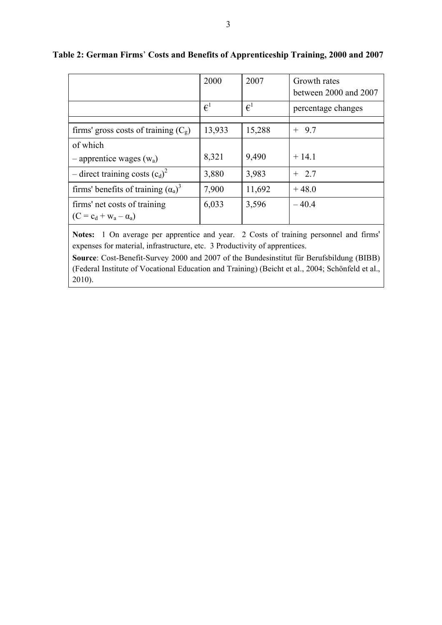|                                                              | 2000                               | 2007         | Growth rates<br>between 2000 and 2007 |
|--------------------------------------------------------------|------------------------------------|--------------|---------------------------------------|
|                                                              | $\epsilon^{\scriptscriptstyle{1}}$ | $\epsilon^1$ | percentage changes                    |
|                                                              |                                    |              |                                       |
| firms' gross costs of training $(C_g)$                       | 13,933                             | 15,288       | $+9.7$                                |
| of which                                                     |                                    |              |                                       |
| $-$ apprentice wages ( $w_a$ )                               | 8,321                              | 9,490        | $+14.1$                               |
| - direct training costs $(c_d)^2$                            | 3,880                              | 3,983        | $+2.7$                                |
| firms' benefits of training $(\alpha_a)^3$                   | 7,900                              | 11,692       | $+48.0$                               |
| firms' net costs of training<br>$(C = c_d + w_a - \alpha_a)$ | 6,033                              | 3,596        | $-40.4$                               |

## **Table 2: German Firms**' **Costs and Benefits of Apprenticeship Training, 2000 and 2007**

**Notes:** 1 On average per apprentice and year. 2 Costs of training personnel and firms' expenses for material, infrastructure, etc. 3 Productivity of apprentices.

**Source**: Cost-Benefit-Survey 2000 and 2007 of the Bundesinstitut für Berufsbildung (BIBB) (Federal Institute of Vocational Education and Training) (Beicht et al., 2004; Schönfeld et al., 2010).